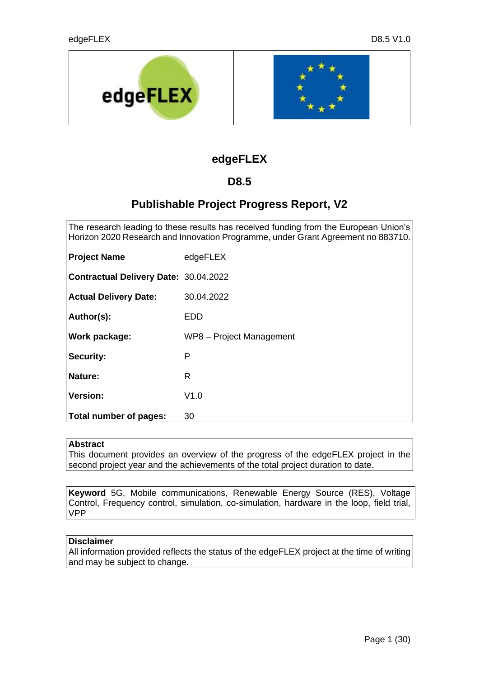

# **edgeFLEX**

# **D8.5**

# **Publishable Project Progress Report, V2**

The research leading to these results has received funding from the European Union's Horizon 2020 Research and Innovation Programme, under Grant Agreement no 883710.

| <b>Project Name</b>                          | edgeFLEX                 |
|----------------------------------------------|--------------------------|
| <b>Contractual Delivery Date: 30.04.2022</b> |                          |
| <b>Actual Delivery Date:</b>                 | 30.04.2022               |
| Author(s):                                   | EDD                      |
| Work package:                                | WP8 - Project Management |
| <b>Security:</b>                             | P                        |
| <b>Nature:</b>                               | R                        |
| <b>Version:</b>                              | V1.0                     |
| Total number of pages:                       | 30                       |

# **Abstract**

This document provides an overview of the progress of the edgeFLEX project in the second project year and the achievements of the total project duration to date.

**Keyword** 5G, Mobile communications, Renewable Energy Source (RES), Voltage Control, Frequency control, simulation, co-simulation, hardware in the loop, field trial, VPP

# **Disclaimer**

All information provided reflects the status of the edgeFLEX project at the time of writing and may be subject to change.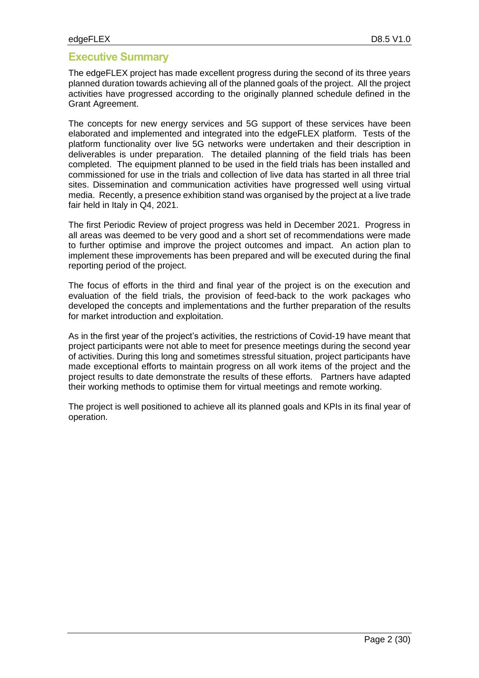# **Executive Summary**

The edgeFLEX project has made excellent progress during the second of its three years planned duration towards achieving all of the planned goals of the project. All the project activities have progressed according to the originally planned schedule defined in the Grant Agreement.

The concepts for new energy services and 5G support of these services have been elaborated and implemented and integrated into the edgeFLEX platform. Tests of the platform functionality over live 5G networks were undertaken and their description in deliverables is under preparation. The detailed planning of the field trials has been completed. The equipment planned to be used in the field trials has been installed and commissioned for use in the trials and collection of live data has started in all three trial sites. Dissemination and communication activities have progressed well using virtual media. Recently, a presence exhibition stand was organised by the project at a live trade fair held in Italy in Q4, 2021.

The first Periodic Review of project progress was held in December 2021. Progress in all areas was deemed to be very good and a short set of recommendations were made to further optimise and improve the project outcomes and impact. An action plan to implement these improvements has been prepared and will be executed during the final reporting period of the project.

The focus of efforts in the third and final year of the project is on the execution and evaluation of the field trials, the provision of feed-back to the work packages who developed the concepts and implementations and the further preparation of the results for market introduction and exploitation.

As in the first year of the project's activities, the restrictions of Covid-19 have meant that project participants were not able to meet for presence meetings during the second year of activities. During this long and sometimes stressful situation, project participants have made exceptional efforts to maintain progress on all work items of the project and the project results to date demonstrate the results of these efforts. Partners have adapted their working methods to optimise them for virtual meetings and remote working.

The project is well positioned to achieve all its planned goals and KPIs in its final year of operation.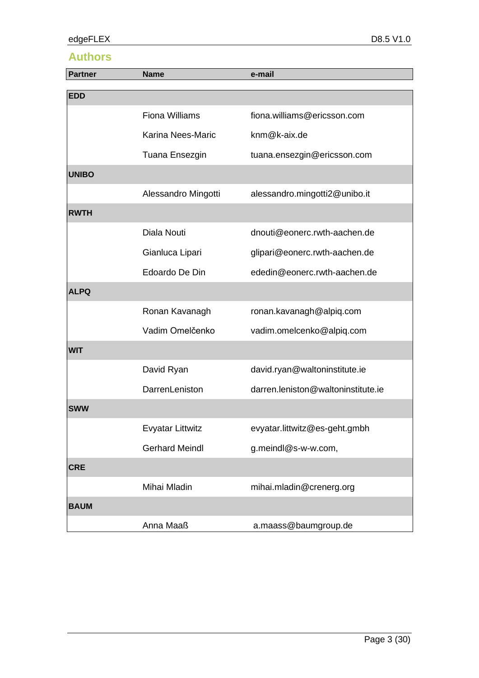# **Authors**

| <b>Partner</b> | <b>Name</b>             | e-mail                             |
|----------------|-------------------------|------------------------------------|
| <b>EDD</b>     |                         |                                    |
|                |                         |                                    |
|                | <b>Fiona Williams</b>   | fiona.williams@ericsson.com        |
|                | Karina Nees-Maric       | knm@k-aix.de                       |
|                | Tuana Ensezgin          | tuana.ensezgin@ericsson.com        |
| <b>UNIBO</b>   |                         |                                    |
|                | Alessandro Mingotti     | alessandro.mingotti2@unibo.it      |
| <b>RWTH</b>    |                         |                                    |
|                | Diala Nouti             | dnouti@eonerc.rwth-aachen.de       |
|                | Gianluca Lipari         | glipari@eonerc.rwth-aachen.de      |
|                | Edoardo De Din          | ededin@eonerc.rwth-aachen.de       |
| <b>ALPQ</b>    |                         |                                    |
|                | Ronan Kavanagh          | ronan.kavanagh@alpiq.com           |
|                | Vadim Omelčenko         | vadim.omelcenko@alpiq.com          |
| <b>WIT</b>     |                         |                                    |
|                | David Ryan              | david.ryan@waltoninstitute.ie      |
|                | DarrenLeniston          | darren.leniston@waltoninstitute.ie |
| <b>SWW</b>     |                         |                                    |
|                | <b>Evyatar Littwitz</b> | evyatar.littwitz@es-geht.gmbh      |
|                | <b>Gerhard Meindl</b>   | g.meindl@s-w-w.com,                |
| <b>CRE</b>     |                         |                                    |
|                | Mihai Mladin            | mihai.mladin@crenerg.org           |
| <b>BAUM</b>    |                         |                                    |
|                | Anna Maaß               | a.maass@baumgroup.de               |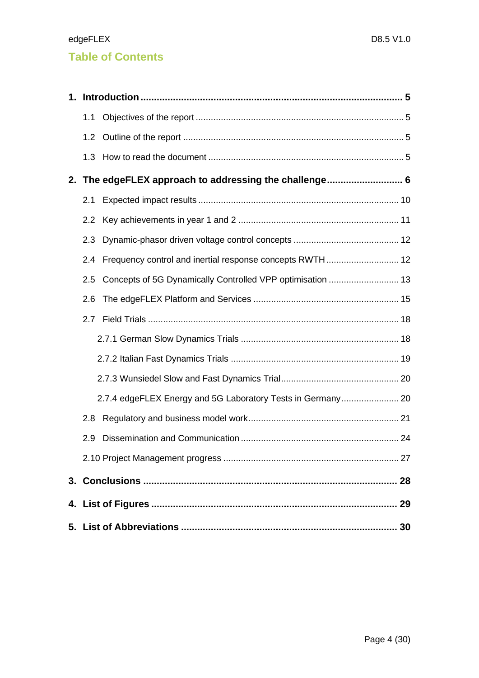# **Table of Contents**

| 1.1           |                                                             |  |
|---------------|-------------------------------------------------------------|--|
|               |                                                             |  |
| 1.3           |                                                             |  |
|               | 2. The edgeFLEX approach to addressing the challenge 6      |  |
| 2.1           |                                                             |  |
| 2.2           |                                                             |  |
| 2.3           |                                                             |  |
| $2.4^{\circ}$ |                                                             |  |
| 2.5           |                                                             |  |
| 2.6           |                                                             |  |
| 2.7           |                                                             |  |
|               |                                                             |  |
|               |                                                             |  |
|               |                                                             |  |
|               | 2.7.4 edgeFLEX Energy and 5G Laboratory Tests in Germany 20 |  |
| 2.8           |                                                             |  |
| 2.9           |                                                             |  |
|               |                                                             |  |
|               |                                                             |  |
|               |                                                             |  |
|               |                                                             |  |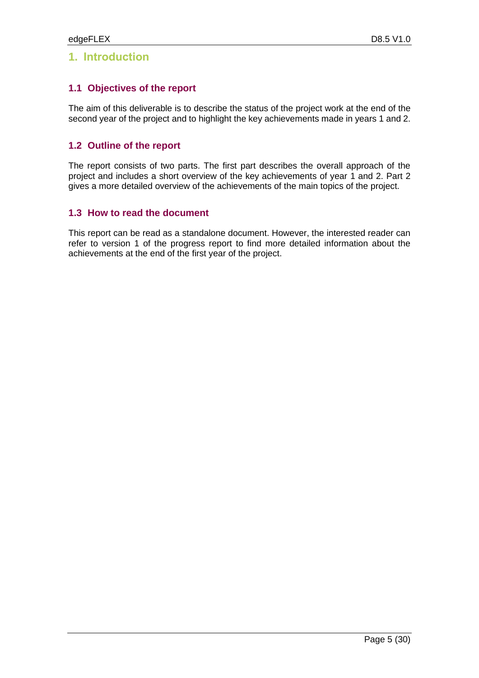# <span id="page-4-0"></span>**1. Introduction**

# <span id="page-4-1"></span>**1.1 Objectives of the report**

The aim of this deliverable is to describe the status of the project work at the end of the second year of the project and to highlight the key achievements made in years 1 and 2.

# <span id="page-4-2"></span>**1.2 Outline of the report**

The report consists of two parts. The first part describes the overall approach of the project and includes a short overview of the key achievements of year 1 and 2. Part 2 gives a more detailed overview of the achievements of the main topics of the project.

# <span id="page-4-3"></span>**1.3 How to read the document**

This report can be read as a standalone document. However, the interested reader can refer to version 1 of the progress report to find more detailed information about the achievements at the end of the first year of the project.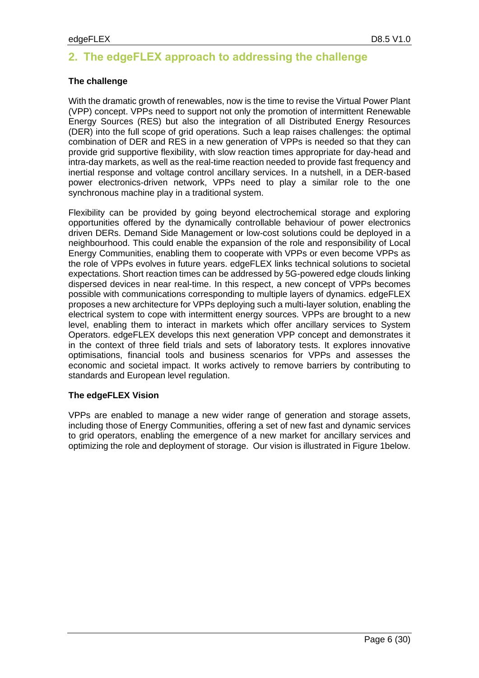# <span id="page-5-0"></span>**2. The edgeFLEX approach to addressing the challenge**

# **The challenge**

With the dramatic growth of renewables, now is the time to revise the Virtual Power Plant (VPP) concept. VPPs need to support not only the promotion of intermittent Renewable Energy Sources (RES) but also the integration of all Distributed Energy Resources (DER) into the full scope of grid operations. Such a leap raises challenges: the optimal combination of DER and RES in a new generation of VPPs is needed so that they can provide grid supportive flexibility, with slow reaction times appropriate for day-head and intra-day markets, as well as the real-time reaction needed to provide fast frequency and inertial response and voltage control ancillary services. In a nutshell, in a DER-based power electronics-driven network, VPPs need to play a similar role to the one synchronous machine play in a traditional system.

Flexibility can be provided by going beyond electrochemical storage and exploring opportunities offered by the dynamically controllable behaviour of power electronics driven DERs. Demand Side Management or low-cost solutions could be deployed in a neighbourhood. This could enable the expansion of the role and responsibility of Local Energy Communities, enabling them to cooperate with VPPs or even become VPPs as the role of VPPs evolves in future years. edgeFLEX links technical solutions to societal expectations. Short reaction times can be addressed by 5G-powered edge clouds linking dispersed devices in near real-time. In this respect, a new concept of VPPs becomes possible with communications corresponding to multiple layers of dynamics. edgeFLEX proposes a new architecture for VPPs deploying such a multi-layer solution, enabling the electrical system to cope with intermittent energy sources. VPPs are brought to a new level, enabling them to interact in markets which offer ancillary services to System Operators. edgeFLEX develops this next generation VPP concept and demonstrates it in the context of three field trials and sets of laboratory tests. It explores innovative optimisations, financial tools and business scenarios for VPPs and assesses the economic and societal impact. It works actively to remove barriers by contributing to standards and European level regulation.

# **The edgeFLEX Vision**

VPPs are enabled to manage a new wider range of generation and storage assets, including those of Energy Communities, offering a set of new fast and dynamic services to grid operators, enabling the emergence of a new market for ancillary services and optimizing the role and deployment of storage. Our vision is illustrated in [Figure 1b](#page-6-0)elow.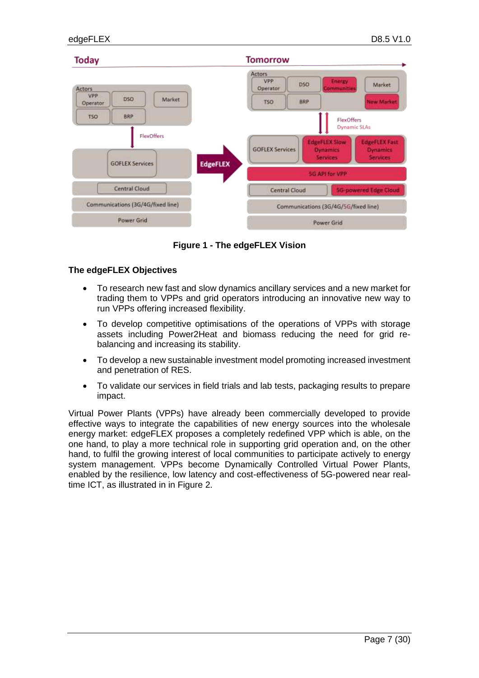

**Figure 1 - The edgeFLEX Vision**

#### <span id="page-6-0"></span>**The edgeFLEX Objectives**

- To research new fast and slow dynamics ancillary services and a new market for trading them to VPPs and grid operators introducing an innovative new way to run VPPs offering increased flexibility.
- To develop competitive optimisations of the operations of VPPs with storage assets including Power2Heat and biomass reducing the need for grid rebalancing and increasing its stability.
- To develop a new sustainable investment model promoting increased investment and penetration of RES.
- To validate our services in field trials and lab tests, packaging results to prepare impact.

Virtual Power Plants (VPPs) have already been commercially developed to provide effective ways to integrate the capabilities of new energy sources into the wholesale energy market: edgeFLEX proposes a completely redefined VPP which is able, on the one hand, to play a more technical role in supporting grid operation and, on the other hand, to fulfil the growing interest of local communities to participate actively to energy system management. VPPs become Dynamically Controlled Virtual Power Plants, enabled by the resilience, low latency and cost-effectiveness of 5G-powered near realtime ICT, as illustrated in in [Figure 2.](#page-7-0)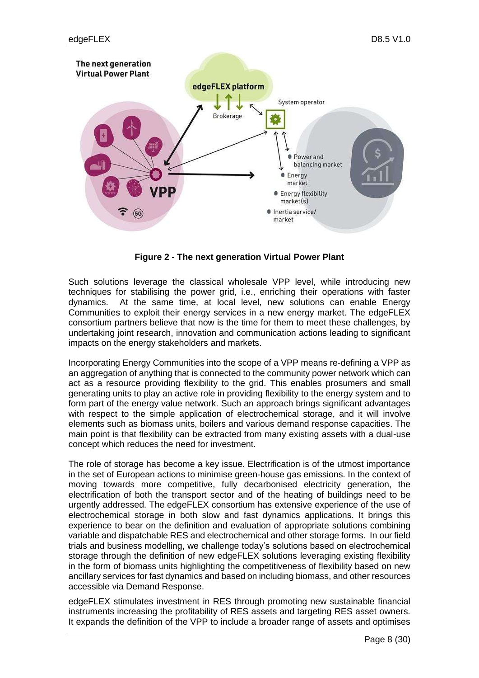

**Figure 2 - The next generation Virtual Power Plant**

<span id="page-7-0"></span>Such solutions leverage the classical wholesale VPP level, while introducing new techniques for stabilising the power grid, i.e., enriching their operations with faster dynamics. At the same time, at local level, new solutions can enable Energy Communities to exploit their energy services in a new energy market. The edgeFLEX consortium partners believe that now is the time for them to meet these challenges, by undertaking joint research, innovation and communication actions leading to significant impacts on the energy stakeholders and markets.

Incorporating Energy Communities into the scope of a VPP means re-defining a VPP as an aggregation of anything that is connected to the community power network which can act as a resource providing flexibility to the grid. This enables prosumers and small generating units to play an active role in providing flexibility to the energy system and to form part of the energy value network. Such an approach brings significant advantages with respect to the simple application of electrochemical storage, and it will involve elements such as biomass units, boilers and various demand response capacities. The main point is that flexibility can be extracted from many existing assets with a dual-use concept which reduces the need for investment.

The role of storage has become a key issue. Electrification is of the utmost importance in the set of European actions to minimise green-house gas emissions. In the context of moving towards more competitive, fully decarbonised electricity generation, the electrification of both the transport sector and of the heating of buildings need to be urgently addressed. The edgeFLEX consortium has extensive experience of the use of electrochemical storage in both slow and fast dynamics applications. It brings this experience to bear on the definition and evaluation of appropriate solutions combining variable and dispatchable RES and electrochemical and other storage forms. In our field trials and business modelling, we challenge today's solutions based on electrochemical storage through the definition of new edgeFLEX solutions leveraging existing flexibility in the form of biomass units highlighting the competitiveness of flexibility based on new ancillary services for fast dynamics and based on including biomass, and other resources accessible via Demand Response.

edgeFLEX stimulates investment in RES through promoting new sustainable financial instruments increasing the profitability of RES assets and targeting RES asset owners. It expands the definition of the VPP to include a broader range of assets and optimises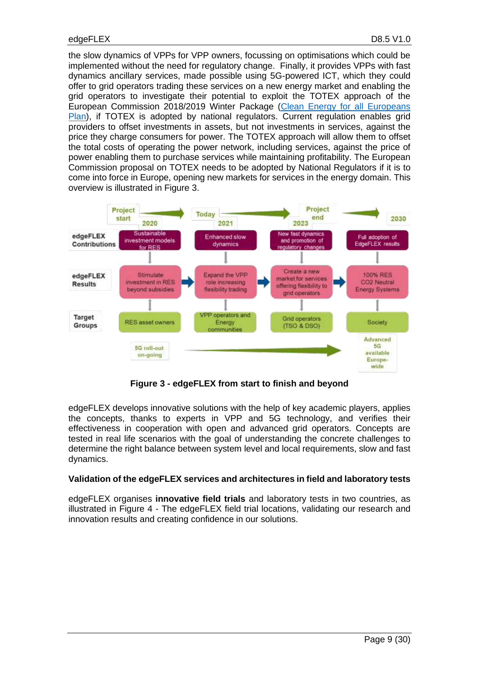the slow dynamics of VPPs for VPP owners, focussing on optimisations which could be implemented without the need for regulatory change. Finally, it provides VPPs with fast dynamics ancillary services, made possible using 5G-powered ICT, which they could offer to grid operators trading these services on a new energy market and enabling the grid operators to investigate their potential to exploit the TOTEX approach of the European Commission 2018/2019 Winter Package [\(Clean Energy for all Europeans](https://op.europa.eu/en/publication-detail/-/publication/b4e46873-7528-11e9-9f05-01aa75ed71a1/language-en?WT.mc_id=Searchresult&WT.ria_c=null&WT.ria_f=3608&WT.ria_ev=search)  [Plan\)](https://op.europa.eu/en/publication-detail/-/publication/b4e46873-7528-11e9-9f05-01aa75ed71a1/language-en?WT.mc_id=Searchresult&WT.ria_c=null&WT.ria_f=3608&WT.ria_ev=search), if TOTEX is adopted by national regulators. Current regulation enables grid providers to offset investments in assets, but not investments in services, against the price they charge consumers for power. The TOTEX approach will allow them to offset the total costs of operating the power network, including services, against the price of power enabling them to purchase services while maintaining profitability. The European Commission proposal on TOTEX needs to be adopted by National Regulators if it is to come into force in Europe, opening new markets for services in the energy domain. This overview is illustrated in Figure 3.



**Figure 3 - edgeFLEX from start to finish and beyond**

<span id="page-8-0"></span>edgeFLEX develops innovative solutions with the help of key academic players, applies the concepts, thanks to experts in VPP and 5G technology, and verifies their effectiveness in cooperation with open and advanced grid operators. Concepts are tested in real life scenarios with the goal of understanding the concrete challenges to determine the right balance between system level and local requirements, slow and fast dynamics.

#### **Validation of the edgeFLEX services and architectures in field and laboratory tests**

edgeFLEX organises **innovative field trials** and laboratory tests in two countries, as illustrated in Figure 4 - [The edgeFLEX field trial locations,](#page-9-1) validating our research and innovation results and creating confidence in our solutions.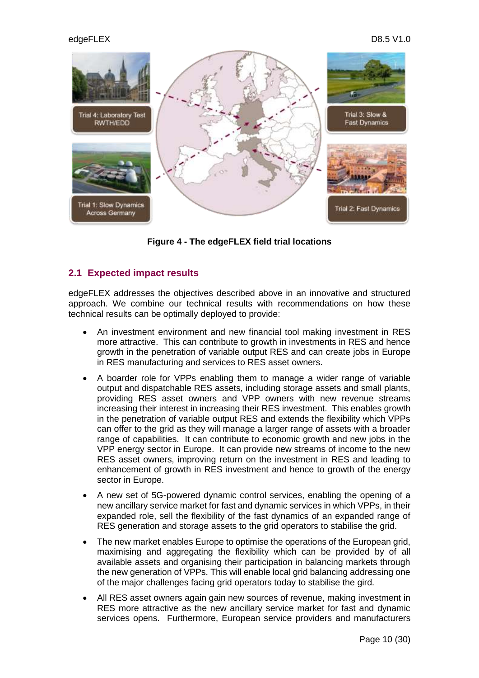

**Figure 4 - The edgeFLEX field trial locations**

# <span id="page-9-1"></span><span id="page-9-0"></span>**2.1 Expected impact results**

edgeFLEX addresses the objectives described above in an innovative and structured approach. We combine our technical results with recommendations on how these technical results can be optimally deployed to provide:

- An investment environment and new financial tool making investment in RES more attractive. This can contribute to growth in investments in RES and hence growth in the penetration of variable output RES and can create jobs in Europe in RES manufacturing and services to RES asset owners.
- A boarder role for VPPs enabling them to manage a wider range of variable output and dispatchable RES assets, including storage assets and small plants, providing RES asset owners and VPP owners with new revenue streams increasing their interest in increasing their RES investment. This enables growth in the penetration of variable output RES and extends the flexibility which VPPs can offer to the grid as they will manage a larger range of assets with a broader range of capabilities. It can contribute to economic growth and new jobs in the VPP energy sector in Europe. It can provide new streams of income to the new RES asset owners, improving return on the investment in RES and leading to enhancement of growth in RES investment and hence to growth of the energy sector in Europe.
- A new set of 5G-powered dynamic control services, enabling the opening of a new ancillary service market for fast and dynamic services in which VPPs, in their expanded role, sell the flexibility of the fast dynamics of an expanded range of RES generation and storage assets to the grid operators to stabilise the grid.
- The new market enables Europe to optimise the operations of the European grid, maximising and aggregating the flexibility which can be provided by of all available assets and organising their participation in balancing markets through the new generation of VPPs. This will enable local grid balancing addressing one of the major challenges facing grid operators today to stabilise the gird.
- All RES asset owners again gain new sources of revenue, making investment in RES more attractive as the new ancillary service market for fast and dynamic services opens. Furthermore, European service providers and manufacturers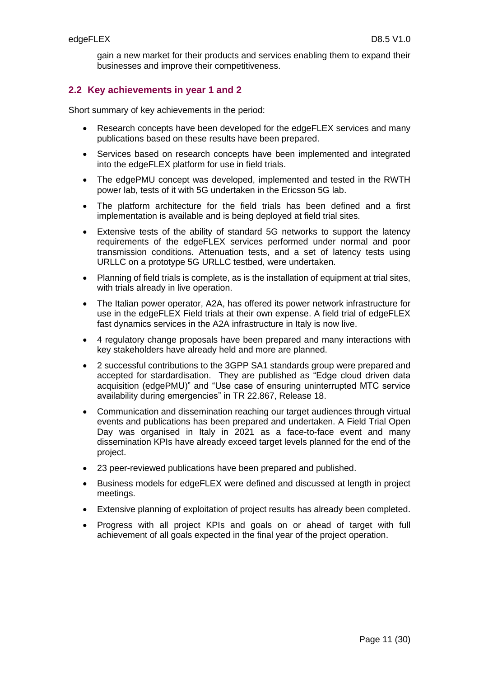gain a new market for their products and services enabling them to expand their businesses and improve their competitiveness.

# <span id="page-10-0"></span>**2.2 Key achievements in year 1 and 2**

Short summary of key achievements in the period:

- Research concepts have been developed for the edgeFLEX services and many publications based on these results have been prepared.
- Services based on research concepts have been implemented and integrated into the edgeFLEX platform for use in field trials.
- The edgePMU concept was developed, implemented and tested in the RWTH power lab, tests of it with 5G undertaken in the Ericsson 5G lab.
- The platform architecture for the field trials has been defined and a first implementation is available and is being deployed at field trial sites.
- Extensive tests of the ability of standard 5G networks to support the latency requirements of the edgeFLEX services performed under normal and poor transmission conditions. Attenuation tests, and a set of latency tests using URLLC on a prototype 5G URLLC testbed, were undertaken.
- Planning of field trials is complete, as is the installation of equipment at trial sites, with trials already in live operation.
- The Italian power operator, A2A, has offered its power network infrastructure for use in the edgeFLEX Field trials at their own expense. A field trial of edgeFLEX fast dynamics services in the A2A infrastructure in Italy is now live.
- 4 regulatory change proposals have been prepared and many interactions with key stakeholders have already held and more are planned.
- 2 successful contributions to the 3GPP SA1 standards group were prepared and accepted for stardardisation. They are published as "Edge cloud driven data acquisition (edgePMU)" and "Use case of ensuring uninterrupted MTC service availability during emergencies" in TR 22.867, Release 18.
- Communication and dissemination reaching our target audiences through virtual events and publications has been prepared and undertaken. A Field Trial Open Day was organised in Italy in 2021 as a face-to-face event and many dissemination KPIs have already exceed target levels planned for the end of the project.
- 23 peer-reviewed publications have been prepared and published.
- Business models for edgeFLEX were defined and discussed at length in project meetings.
- Extensive planning of exploitation of project results has already been completed.
- Progress with all project KPIs and goals on or ahead of target with full achievement of all goals expected in the final year of the project operation.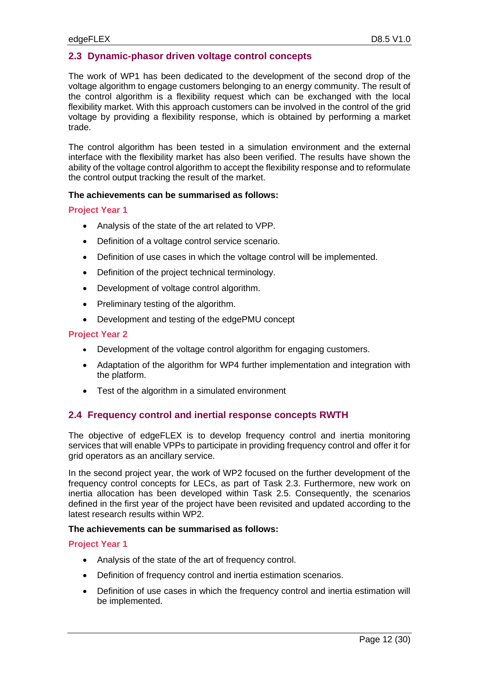# <span id="page-11-0"></span>**2.3 Dynamic-phasor driven voltage control concepts**

The work of WP1 has been dedicated to the development of the second drop of the voltage algorithm to engage customers belonging to an energy community. The result of the control algorithm is a flexibility request which can be exchanged with the local flexibility market. With this approach customers can be involved in the control of the grid voltage by providing a flexibility response, which is obtained by performing a market trade.

The control algorithm has been tested in a simulation environment and the external interface with the flexibility market has also been verified. The results have shown the ability of the voltage control algorithm to accept the flexibility response and to reformulate the control output tracking the result of the market.

#### **The achievements can be summarised as follows:**

#### **Project Year 1**

- Analysis of the state of the art related to VPP.
- Definition of a voltage control service scenario.
- Definition of use cases in which the voltage control will be implemented.
- Definition of the project technical terminology.
- Development of voltage control algorithm.
- Preliminary testing of the algorithm.
- Development and testing of the edgePMU concept

#### **Project Year 2**

- Development of the voltage control algorithm for engaging customers.
- Adaptation of the algorithm for WP4 further implementation and integration with the platform.
- Test of the algorithm in a simulated environment

# <span id="page-11-1"></span>**2.4 Frequency control and inertial response concepts RWTH**

The objective of edgeFLEX is to develop frequency control and inertia monitoring services that will enable VPPs to participate in providing frequency control and offer it for grid operators as an ancillary service.

In the second project year, the work of WP2 focused on the further development of the frequency control concepts for LECs, as part of Task 2.3. Furthermore, new work on inertia allocation has been developed within Task 2.5. Consequently, the scenarios defined in the first year of the project have been revisited and updated according to the latest research results within WP2.

#### **The achievements can be summarised as follows:**

- Analysis of the state of the art of frequency control.
- Definition of frequency control and inertia estimation scenarios.
- Definition of use cases in which the frequency control and inertia estimation will be implemented.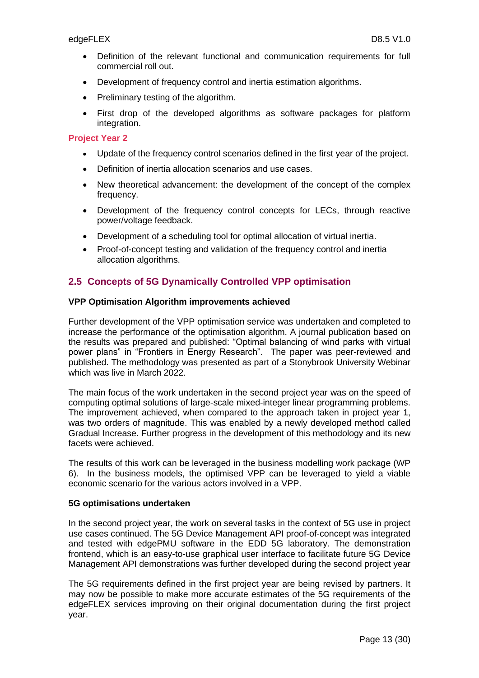- Definition of the relevant functional and communication requirements for full commercial roll out.
- Development of frequency control and inertia estimation algorithms.
- Preliminary testing of the algorithm.
- First drop of the developed algorithms as software packages for platform integration.

#### **Project Year 2**

- Update of the frequency control scenarios defined in the first year of the project.
- Definition of inertia allocation scenarios and use cases.
- New theoretical advancement: the development of the concept of the complex frequency.
- Development of the frequency control concepts for LECs, through reactive power/voltage feedback.
- Development of a scheduling tool for optimal allocation of virtual inertia.
- Proof-of-concept testing and validation of the frequency control and inertia allocation algorithms.

# <span id="page-12-0"></span>**2.5 Concepts of 5G Dynamically Controlled VPP optimisation**

#### **VPP Optimisation Algorithm improvements achieved**

Further development of the VPP optimisation service was undertaken and completed to increase the performance of the optimisation algorithm. A journal publication based on the results was prepared and published: "Optimal balancing of wind parks with virtual power plans" in "Frontiers in Energy Research". The paper was peer-reviewed and published. The methodology was presented as part of a Stonybrook University Webinar which was live in March 2022.

The main focus of the work undertaken in the second project year was on the speed of computing optimal solutions of large-scale mixed-integer linear programming problems. The improvement achieved, when compared to the approach taken in project year 1, was two orders of magnitude. This was enabled by a newly developed method called Gradual Increase. Further progress in the development of this methodology and its new facets were achieved.

The results of this work can be leveraged in the business modelling work package (WP 6). In the business models, the optimised VPP can be leveraged to yield a viable economic scenario for the various actors involved in a VPP.

#### **5G optimisations undertaken**

In the second project year, the work on several tasks in the context of 5G use in project use cases continued. The 5G Device Management API proof-of-concept was integrated and tested with edgePMU software in the EDD 5G laboratory. The demonstration frontend, which is an easy-to-use graphical user interface to facilitate future 5G Device Management API demonstrations was further developed during the second project year

The 5G requirements defined in the first project year are being revised by partners. It may now be possible to make more accurate estimates of the 5G requirements of the edgeFLEX services improving on their original documentation during the first project year.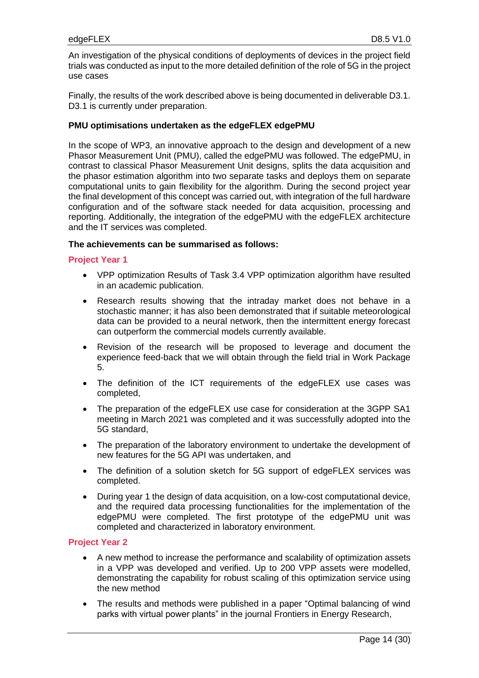An investigation of the physical conditions of deployments of devices in the project field trials was conducted as input to the more detailed definition of the role of 5G in the project use cases

Finally, the results of the work described above is being documented in deliverable D3.1. D3.1 is currently under preparation.

#### **PMU optimisations undertaken as the edgeFLEX edgePMU**

In the scope of WP3, an innovative approach to the design and development of a new Phasor Measurement Unit (PMU), called the edgePMU was followed. The edgePMU, in contrast to classical Phasor Measurement Unit designs, splits the data acquisition and the phasor estimation algorithm into two separate tasks and deploys them on separate computational units to gain flexibility for the algorithm. During the second project year the final development of this concept was carried out, with integration of the full hardware configuration and of the software stack needed for data acquisition, processing and reporting. Additionally, the integration of the edgePMU with the edgeFLEX architecture and the IT services was completed.

#### **The achievements can be summarised as follows:**

#### **Project Year 1**

- VPP optimization Results of Task 3.4 VPP optimization algorithm have resulted in an academic publication.
- Research results showing that the intraday market does not behave in a stochastic manner; it has also been demonstrated that if suitable meteorological data can be provided to a neural network, then the intermittent energy forecast can outperform the commercial models currently available.
- Revision of the research will be proposed to leverage and document the experience feed-back that we will obtain through the field trial in Work Package 5.
- The definition of the ICT requirements of the edgeFLEX use cases was completed,
- The preparation of the edgeFLEX use case for consideration at the 3GPP SA1 meeting in March 2021 was completed and it was successfully adopted into the 5G standard,
- The preparation of the laboratory environment to undertake the development of new features for the 5G API was undertaken, and
- The definition of a solution sketch for 5G support of edgeFLEX services was completed.
- During year 1 the design of data acquisition, on a low-cost computational device, and the required data processing functionalities for the implementation of the edgePMU were completed. The first prototype of the edgePMU unit was completed and characterized in laboratory environment.

- A new method to increase the performance and scalability of optimization assets in a VPP was developed and verified. Up to 200 VPP assets were modelled, demonstrating the capability for robust scaling of this optimization service using the new method
- The results and methods were published in a paper "Optimal balancing of wind parks with virtual power plants" in the journal Frontiers in Energy Research,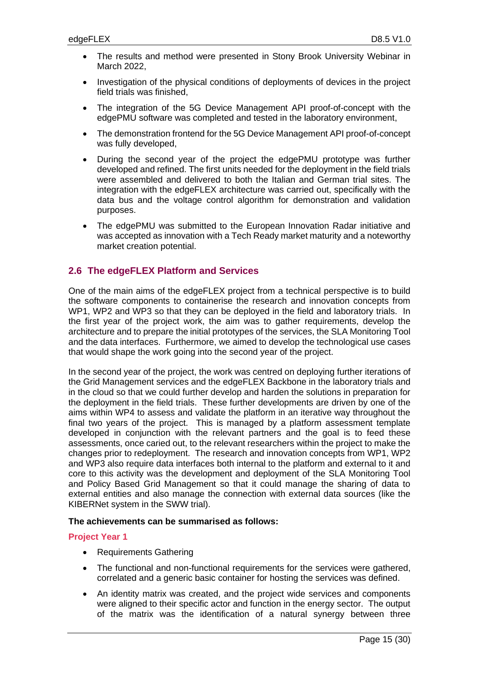- The results and method were presented in Stony Brook University Webinar in March 2022,
- Investigation of the physical conditions of deployments of devices in the project field trials was finished,
- The integration of the 5G Device Management API proof-of-concept with the edgePMU software was completed and tested in the laboratory environment,
- The demonstration frontend for the 5G Device Management API proof-of-concept was fully developed,
- During the second year of the project the edgePMU prototype was further developed and refined. The first units needed for the deployment in the field trials were assembled and delivered to both the Italian and German trial sites. The integration with the edgeFLEX architecture was carried out, specifically with the data bus and the voltage control algorithm for demonstration and validation purposes.
- The edgePMU was submitted to the European Innovation Radar initiative and was accepted as innovation with a Tech Ready market maturity and a noteworthy market creation potential.

# <span id="page-14-0"></span>**2.6 The edgeFLEX Platform and Services**

One of the main aims of the edgeFLEX project from a technical perspective is to build the software components to containerise the research and innovation concepts from WP1, WP2 and WP3 so that they can be deployed in the field and laboratory trials. In the first year of the project work, the aim was to gather requirements, develop the architecture and to prepare the initial prototypes of the services, the SLA Monitoring Tool and the data interfaces. Furthermore, we aimed to develop the technological use cases that would shape the work going into the second year of the project.

In the second year of the project, the work was centred on deploying further iterations of the Grid Management services and the edgeFLEX Backbone in the laboratory trials and in the cloud so that we could further develop and harden the solutions in preparation for the deployment in the field trials. These further developments are driven by one of the aims within WP4 to assess and validate the platform in an iterative way throughout the final two years of the project. This is managed by a platform assessment template developed in conjunction with the relevant partners and the goal is to feed these assessments, once caried out, to the relevant researchers within the project to make the changes prior to redeployment. The research and innovation concepts from WP1, WP2 and WP3 also require data interfaces both internal to the platform and external to it and core to this activity was the development and deployment of the SLA Monitoring Tool and Policy Based Grid Management so that it could manage the sharing of data to external entities and also manage the connection with external data sources (like the KIBERNet system in the SWW trial).

#### **The achievements can be summarised as follows:**

- Requirements Gathering
- The functional and non-functional requirements for the services were gathered, correlated and a generic basic container for hosting the services was defined.
- An identity matrix was created, and the project wide services and components were aligned to their specific actor and function in the energy sector. The output of the matrix was the identification of a natural synergy between three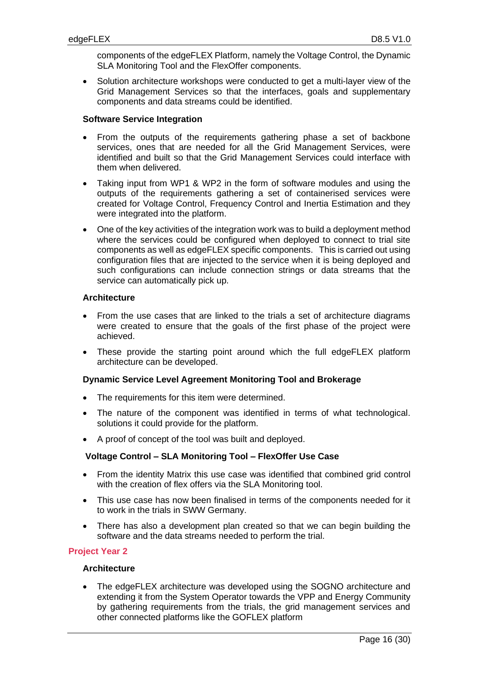components of the edgeFLEX Platform, namely the Voltage Control, the Dynamic SLA Monitoring Tool and the FlexOffer components.

• Solution architecture workshops were conducted to get a multi-layer view of the Grid Management Services so that the interfaces, goals and supplementary components and data streams could be identified.

#### **Software Service Integration**

- From the outputs of the requirements gathering phase a set of backbone services, ones that are needed for all the Grid Management Services, were identified and built so that the Grid Management Services could interface with them when delivered.
- Taking input from WP1 & WP2 in the form of software modules and using the outputs of the requirements gathering a set of containerised services were created for Voltage Control, Frequency Control and Inertia Estimation and they were integrated into the platform.
- One of the key activities of the integration work was to build a deployment method where the services could be configured when deployed to connect to trial site components as well as edgeFLEX specific components. This is carried out using configuration files that are injected to the service when it is being deployed and such configurations can include connection strings or data streams that the service can automatically pick up.

# **Architecture**

- From the use cases that are linked to the trials a set of architecture diagrams were created to ensure that the goals of the first phase of the project were achieved.
- These provide the starting point around which the full edgeFLEX platform architecture can be developed.

# **Dynamic Service Level Agreement Monitoring Tool and Brokerage**

- The requirements for this item were determined.
- The nature of the component was identified in terms of what technological. solutions it could provide for the platform.
- A proof of concept of the tool was built and deployed.

# **Voltage Control – SLA Monitoring Tool – FlexOffer Use Case**

- From the identity Matrix this use case was identified that combined grid control with the creation of flex offers via the SLA Monitoring tool.
- This use case has now been finalised in terms of the components needed for it to work in the trials in SWW Germany.
- There has also a development plan created so that we can begin building the software and the data streams needed to perform the trial.

# **Project Year 2**

#### **Architecture**

• The edgeFLEX architecture was developed using the SOGNO architecture and extending it from the System Operator towards the VPP and Energy Community by gathering requirements from the trials, the grid management services and other connected platforms like the GOFLEX platform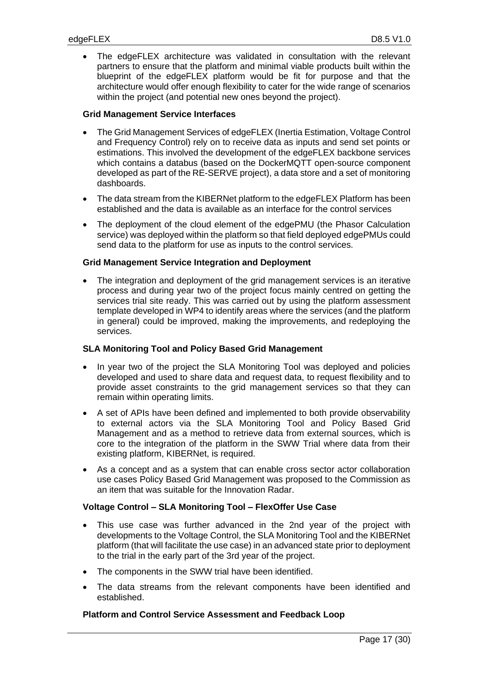• The edgeFLEX architecture was validated in consultation with the relevant partners to ensure that the platform and minimal viable products built within the blueprint of the edgeFLEX platform would be fit for purpose and that the architecture would offer enough flexibility to cater for the wide range of scenarios within the project (and potential new ones beyond the project).

#### **Grid Management Service Interfaces**

- The Grid Management Services of edgeFLEX (Inertia Estimation, Voltage Control and Frequency Control) rely on to receive data as inputs and send set points or estimations. This involved the development of the edgeFLEX backbone services which contains a databus (based on the DockerMQTT open-source component developed as part of the RE-SERVE project), a data store and a set of monitoring dashboards.
- The data stream from the KIBERNet platform to the edgeFLEX Platform has been established and the data is available as an interface for the control services
- The deployment of the cloud element of the edgePMU (the Phasor Calculation service) was deployed within the platform so that field deployed edgePMUs could send data to the platform for use as inputs to the control services.

#### **Grid Management Service Integration and Deployment**

The integration and deployment of the grid management services is an iterative process and during year two of the project focus mainly centred on getting the services trial site ready. This was carried out by using the platform assessment template developed in WP4 to identify areas where the services (and the platform in general) could be improved, making the improvements, and redeploying the services.

# **SLA Monitoring Tool and Policy Based Grid Management**

- In year two of the project the SLA Monitoring Tool was deployed and policies developed and used to share data and request data, to request flexibility and to provide asset constraints to the grid management services so that they can remain within operating limits.
- A set of APIs have been defined and implemented to both provide observability to external actors via the SLA Monitoring Tool and Policy Based Grid Management and as a method to retrieve data from external sources, which is core to the integration of the platform in the SWW Trial where data from their existing platform, KIBERNet, is required.
- As a concept and as a system that can enable cross sector actor collaboration use cases Policy Based Grid Management was proposed to the Commission as an item that was suitable for the Innovation Radar.

# **Voltage Control – SLA Monitoring Tool – FlexOffer Use Case**

- This use case was further advanced in the 2nd year of the project with developments to the Voltage Control, the SLA Monitoring Tool and the KIBERNet platform (that will facilitate the use case) in an advanced state prior to deployment to the trial in the early part of the 3rd year of the project.
- The components in the SWW trial have been identified.
- The data streams from the relevant components have been identified and established.

#### **Platform and Control Service Assessment and Feedback Loop**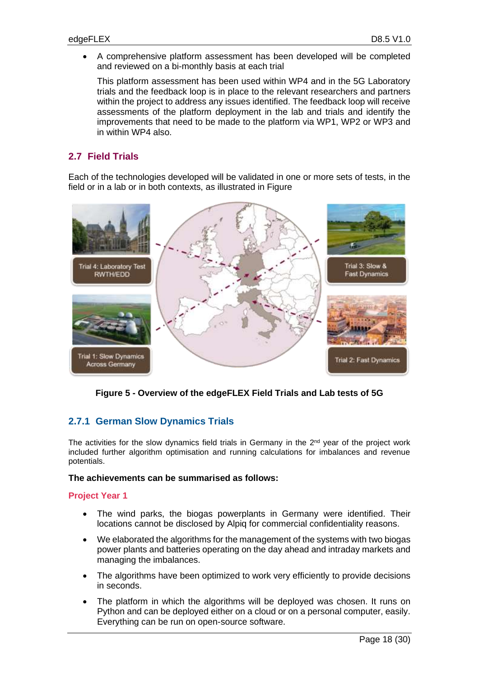• A comprehensive platform assessment has been developed will be completed and reviewed on a bi-monthly basis at each trial

This platform assessment has been used within WP4 and in the 5G Laboratory trials and the feedback loop is in place to the relevant researchers and partners within the project to address any issues identified. The feedback loop will receive assessments of the platform deployment in the lab and trials and identify the improvements that need to be made to the platform via WP1, WP2 or WP3 and in within WP4 also.

# <span id="page-17-0"></span>**2.7 Field Trials**

Each of the technologies developed will be validated in one or more sets of tests, in the field or in a lab or in both contexts, as illustrated in Figure



<span id="page-17-2"></span>**Figure 5 - Overview of the edgeFLEX Field Trials and Lab tests of 5G**

# <span id="page-17-1"></span>**2.7.1 German Slow Dynamics Trials**

The activities for the slow dynamics field trials in Germany in the  $2<sup>nd</sup>$  year of the project work included further algorithm optimisation and running calculations for imbalances and revenue potentials.

#### **The achievements can be summarised as follows:**

- The wind parks, the biogas powerplants in Germany were identified. Their locations cannot be disclosed by Alpiq for commercial confidentiality reasons.
- We elaborated the algorithms for the management of the systems with two biogas power plants and batteries operating on the day ahead and intraday markets and managing the imbalances.
- The algorithms have been optimized to work very efficiently to provide decisions in seconds.
- The platform in which the algorithms will be deployed was chosen. It runs on Python and can be deployed either on a cloud or on a personal computer, easily. Everything can be run on open-source software.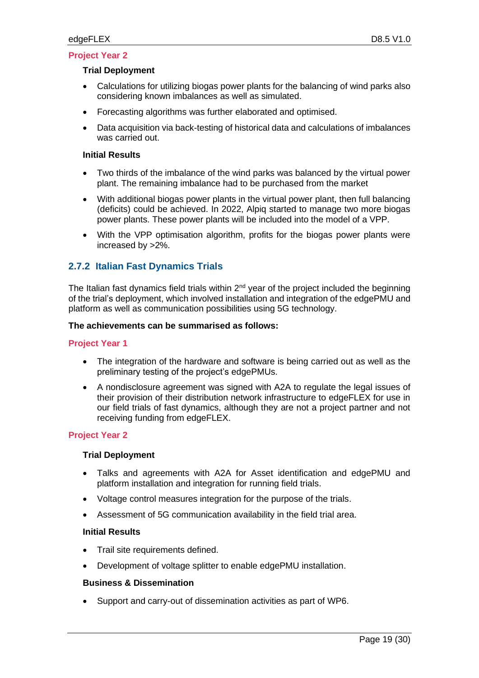#### **Trial Deployment**

- Calculations for utilizing biogas power plants for the balancing of wind parks also considering known imbalances as well as simulated.
- Forecasting algorithms was further elaborated and optimised.
- Data acquisition via back-testing of historical data and calculations of imbalances was carried out.

# **Initial Results**

- Two thirds of the imbalance of the wind parks was balanced by the virtual power plant. The remaining imbalance had to be purchased from the market
- With additional biogas power plants in the virtual power plant, then full balancing (deficits) could be achieved. In 2022, Alpiq started to manage two more biogas power plants. These power plants will be included into the model of a VPP.
- With the VPP optimisation algorithm, profits for the biogas power plants were increased by >2%.

# <span id="page-18-0"></span>**2.7.2 Italian Fast Dynamics Trials**

The Italian fast dynamics field trials within  $2<sup>nd</sup>$  year of the project included the beginning of the trial's deployment, which involved installation and integration of the edgePMU and platform as well as communication possibilities using 5G technology.

#### **The achievements can be summarised as follows:**

#### **Project Year 1**

- The integration of the hardware and software is being carried out as well as the preliminary testing of the project's edgePMUs.
- A nondisclosure agreement was signed with A2A to regulate the legal issues of their provision of their distribution network infrastructure to edgeFLEX for use in our field trials of fast dynamics, although they are not a project partner and not receiving funding from edgeFLEX.

# **Project Year 2**

#### **Trial Deployment**

- Talks and agreements with A2A for Asset identification and edgePMU and platform installation and integration for running field trials.
- Voltage control measures integration for the purpose of the trials.
- Assessment of 5G communication availability in the field trial area.

#### **Initial Results**

- Trail site requirements defined.
- Development of voltage splitter to enable edgePMU installation.

#### **Business & Dissemination**

• Support and carry-out of dissemination activities as part of WP6.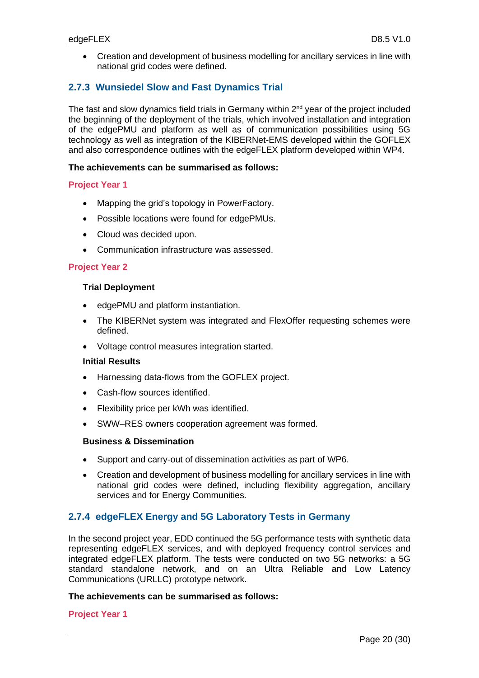• Creation and development of business modelling for ancillary services in line with national grid codes were defined.

# <span id="page-19-0"></span>**2.7.3 Wunsiedel Slow and Fast Dynamics Trial**

The fast and slow dynamics field trials in Germany within 2<sup>nd</sup> year of the project included the beginning of the deployment of the trials, which involved installation and integration of the edgePMU and platform as well as of communication possibilities using 5G technology as well as integration of the KIBERNet-EMS developed within the GOFLEX and also correspondence outlines with the edgeFLEX platform developed within WP4.

#### **The achievements can be summarised as follows:**

#### **Project Year 1**

- Mapping the grid's topology in PowerFactory.
- Possible locations were found for edgePMUs.
- Cloud was decided upon.
- Communication infrastructure was assessed.

#### **Project Year 2**

#### **Trial Deployment**

- edgePMU and platform instantiation.
- The KIBERNet system was integrated and FlexOffer requesting schemes were defined.
- Voltage control measures integration started.

#### **Initial Results**

- Harnessing data-flows from the GOFLEX project.
- Cash-flow sources identified.
- Flexibility price per kWh was identified.
- SWW–RES owners cooperation agreement was formed.

#### **Business & Dissemination**

- Support and carry-out of dissemination activities as part of WP6.
- Creation and development of business modelling for ancillary services in line with national grid codes were defined, including flexibility aggregation, ancillary services and for Energy Communities.

# <span id="page-19-1"></span>**2.7.4 edgeFLEX Energy and 5G Laboratory Tests in Germany**

In the second project year, EDD continued the 5G performance tests with synthetic data representing edgeFLEX services, and with deployed frequency control services and integrated edgeFLEX platform. The tests were conducted on two 5G networks: a 5G standard standalone network, and on an Ultra Reliable and Low Latency Communications (URLLC) prototype network.

#### **The achievements can be summarised as follows:**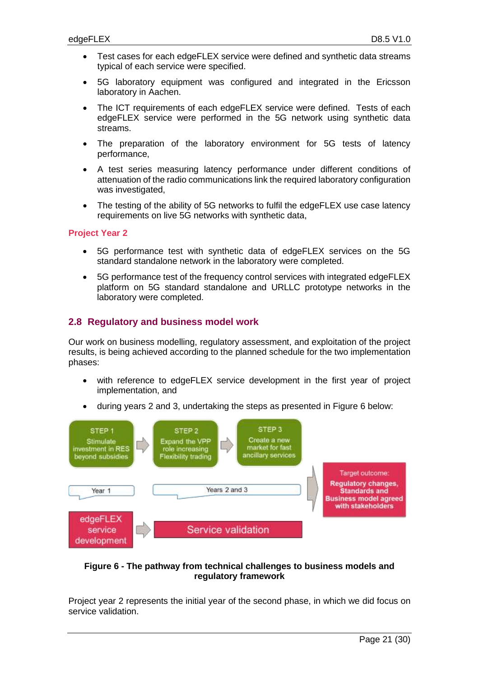- Test cases for each edgeFLEX service were defined and synthetic data streams typical of each service were specified.
- 5G laboratory equipment was configured and integrated in the Ericsson laboratory in Aachen.
- The ICT requirements of each edgeFLEX service were defined. Tests of each edgeFLEX service were performed in the 5G network using synthetic data streams.
- The preparation of the laboratory environment for 5G tests of latency performance,
- A test series measuring latency performance under different conditions of attenuation of the radio communications link the required laboratory configuration was investigated,
- The testing of the ability of 5G networks to fulfil the edgeFLEX use case latency requirements on live 5G networks with synthetic data,

#### **Project Year 2**

- 5G performance test with synthetic data of edgeFLEX services on the 5G standard standalone network in the laboratory were completed.
- 5G performance test of the frequency control services with integrated edgeFLEX platform on 5G standard standalone and URLLC prototype networks in the laboratory were completed.

# <span id="page-20-0"></span>**2.8 Regulatory and business model work**

Our work on business modelling, regulatory assessment, and exploitation of the project results, is being achieved according to the planned schedule for the two implementation phases:

- with reference to edgeFLEX service development in the first year of project implementation, and
- during years 2 and 3, undertaking the steps as presented in Figure 6 below:



# <span id="page-20-1"></span>**Figure 6 - The pathway from technical challenges to business models and regulatory framework**

Project year 2 represents the initial year of the second phase, in which we did focus on service validation.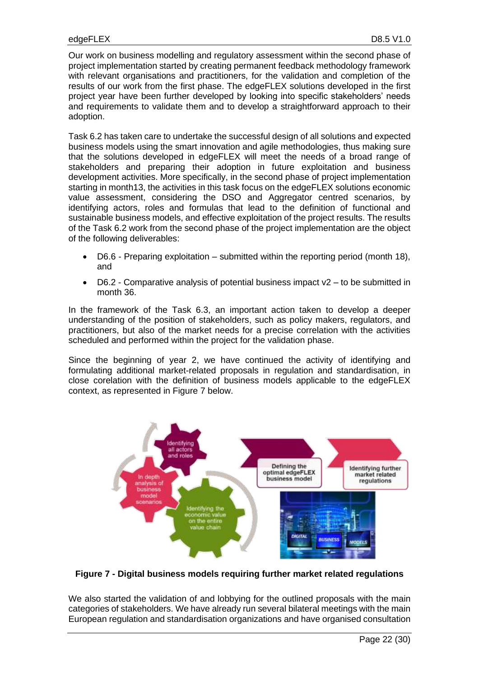Our work on business modelling and regulatory assessment within the second phase of project implementation started by creating permanent feedback methodology framework with relevant organisations and practitioners, for the validation and completion of the results of our work from the first phase. The edgeFLEX solutions developed in the first project year have been further developed by looking into specific stakeholders' needs and requirements to validate them and to develop a straightforward approach to their adoption.

Task 6.2 has taken care to undertake the successful design of all solutions and expected business models using the smart innovation and agile methodologies, thus making sure that the solutions developed in edgeFLEX will meet the needs of a broad range of stakeholders and preparing their adoption in future exploitation and business development activities. More specifically, in the second phase of project implementation starting in month13, the activities in this task focus on the edgeFLEX solutions economic value assessment, considering the DSO and Aggregator centred scenarios, by identifying actors, roles and formulas that lead to the definition of functional and sustainable business models, and effective exploitation of the project results. The results of the Task 6.2 work from the second phase of the project implementation are the object of the following deliverables:

- D6.6 Preparing exploitation submitted within the reporting period (month 18), and
- $D6.2$  Comparative analysis of potential business impact  $v2 t$  to be submitted in month 36.

In the framework of the Task 6.3, an important action taken to develop a deeper understanding of the position of stakeholders, such as policy makers, regulators, and practitioners, but also of the market needs for a precise correlation with the activities scheduled and performed within the project for the validation phase.

Since the beginning of year 2, we have continued the activity of identifying and formulating additional market-related proposals in regulation and standardisation, in close corelation with the definition of business models applicable to the edgeFLEX context, as represented in Figure 7 below.



<span id="page-21-0"></span>**Figure 7 - Digital business models requiring further market related regulations**

We also started the validation of and lobbying for the outlined proposals with the main categories of stakeholders. We have already run several bilateral meetings with the main European regulation and standardisation organizations and have organised consultation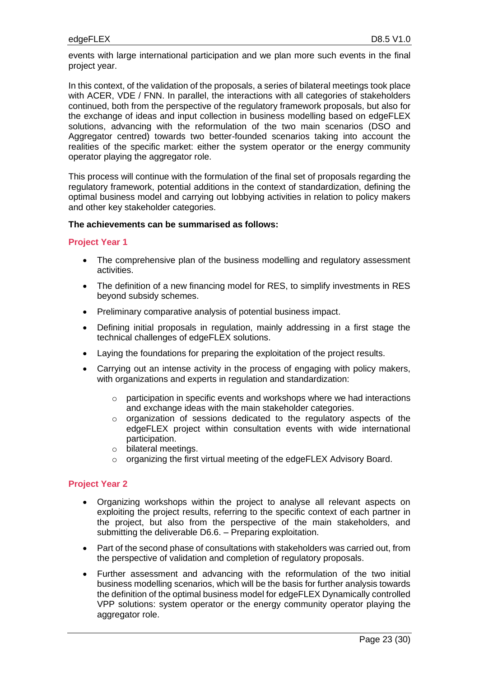events with large international participation and we plan more such events in the final project year.

In this context, of the validation of the proposals, a series of bilateral meetings took place with ACER, VDE / FNN. In parallel, the interactions with all categories of stakeholders continued, both from the perspective of the regulatory framework proposals, but also for the exchange of ideas and input collection in business modelling based on edgeFLEX solutions, advancing with the reformulation of the two main scenarios (DSO and Aggregator centred) towards two better-founded scenarios taking into account the realities of the specific market: either the system operator or the energy community operator playing the aggregator role.

This process will continue with the formulation of the final set of proposals regarding the regulatory framework, potential additions in the context of standardization, defining the optimal business model and carrying out lobbying activities in relation to policy makers and other key stakeholder categories.

# **The achievements can be summarised as follows:**

#### **Project Year 1**

- The comprehensive plan of the business modelling and regulatory assessment activities.
- The definition of a new financing model for RES, to simplify investments in RES beyond subsidy schemes.
- Preliminary comparative analysis of potential business impact.
- Defining initial proposals in regulation, mainly addressing in a first stage the technical challenges of edgeFLEX solutions.
- Laying the foundations for preparing the exploitation of the project results.
- Carrying out an intense activity in the process of engaging with policy makers, with organizations and experts in regulation and standardization:
	- o participation in specific events and workshops where we had interactions and exchange ideas with the main stakeholder categories.
	- o organization of sessions dedicated to the regulatory aspects of the edgeFLEX project within consultation events with wide international participation.
	- o bilateral meetings.
	- o organizing the first virtual meeting of the edgeFLEX Advisory Board.

- Organizing workshops within the project to analyse all relevant aspects on exploiting the project results, referring to the specific context of each partner in the project, but also from the perspective of the main stakeholders, and submitting the deliverable D6.6. – Preparing exploitation.
- Part of the second phase of consultations with stakeholders was carried out, from the perspective of validation and completion of regulatory proposals.
- Further assessment and advancing with the reformulation of the two initial business modelling scenarios, which will be the basis for further analysis towards the definition of the optimal business model for edgeFLEX Dynamically controlled VPP solutions: system operator or the energy community operator playing the aggregator role.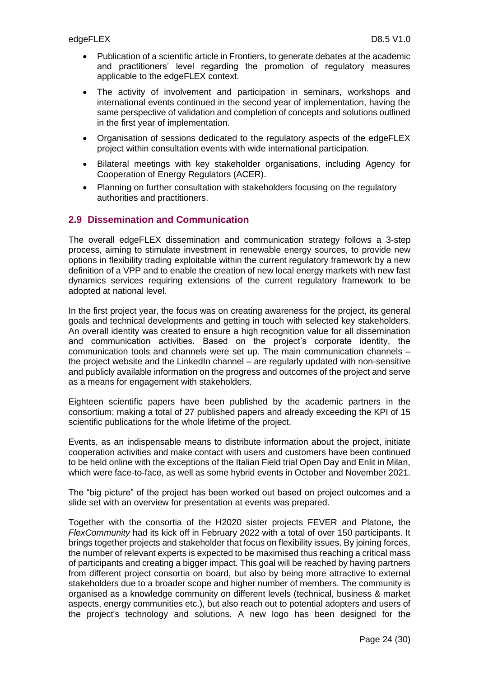- Publication of a scientific article in Frontiers, to generate debates at the academic and practitioners' level regarding the promotion of regulatory measures applicable to the edgeFLEX context.
- The activity of involvement and participation in seminars, workshops and international events continued in the second year of implementation, having the same perspective of validation and completion of concepts and solutions outlined in the first year of implementation.
- Organisation of sessions dedicated to the regulatory aspects of the edgeFLEX project within consultation events with wide international participation.
- Bilateral meetings with key stakeholder organisations, including Agency for Cooperation of Energy Regulators (ACER).
- Planning on further consultation with stakeholders focusing on the regulatory authorities and practitioners.

# <span id="page-23-0"></span>**2.9 Dissemination and Communication**

The overall edgeFLEX dissemination and communication strategy follows a 3-step process, aiming to stimulate investment in renewable energy sources, to provide new options in flexibility trading exploitable within the current regulatory framework by a new definition of a VPP and to enable the creation of new local energy markets with new fast dynamics services requiring extensions of the current regulatory framework to be adopted at national level.

In the first project year, the focus was on creating awareness for the project, its general goals and technical developments and getting in touch with selected key stakeholders. An overall identity was created to ensure a high recognition value for all dissemination and communication activities. Based on the project's corporate identity, the communication tools and channels were set up. The main communication channels – the project website and the LinkedIn channel – are regularly updated with non-sensitive and publicly available information on the progress and outcomes of the project and serve as a means for engagement with stakeholders.

Eighteen scientific papers have been published by the academic partners in the consortium; making a total of 27 published papers and already exceeding the KPI of 15 scientific publications for the whole lifetime of the project.

Events, as an indispensable means to distribute information about the project, initiate cooperation activities and make contact with users and customers have been continued to be held online with the exceptions of the Italian Field trial Open Day and Enlit in Milan, which were face-to-face, as well as some hybrid events in October and November 2021.

The "big picture" of the project has been worked out based on project outcomes and a slide set with an overview for presentation at events was prepared.

Together with the consortia of the H2020 sister projects FEVER and Platone, the *FlexCommunity* had its kick off in February 2022 with a total of over 150 participants. It brings together projects and stakeholder that focus on flexibility issues. By joining forces, the number of relevant experts is expected to be maximised thus reaching a critical mass of participants and creating a bigger impact. This goal will be reached by having partners from different project consortia on board, but also by being more attractive to external stakeholders due to a broader scope and higher number of members. The community is organised as a knowledge community on different levels (technical, business & market aspects, energy communities etc.), but also reach out to potential adopters and users of the project's technology and solutions. A new logo has been designed for the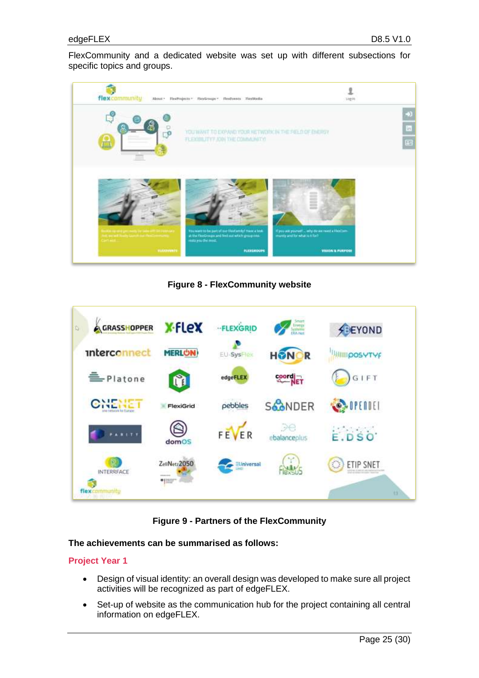FlexCommunity and a dedicated website was set up with different subsections for specific topics and groups.



**Figure 8 - FlexCommunity website**

<span id="page-24-0"></span>

**Figure 9 - Partners of the FlexCommunity**

# <span id="page-24-1"></span>**The achievements can be summarised as follows:**

- Design of visual identity: an overall design was developed to make sure all project activities will be recognized as part of edgeFLEX.
- Set-up of website as the communication hub for the project containing all central information on edgeFLEX.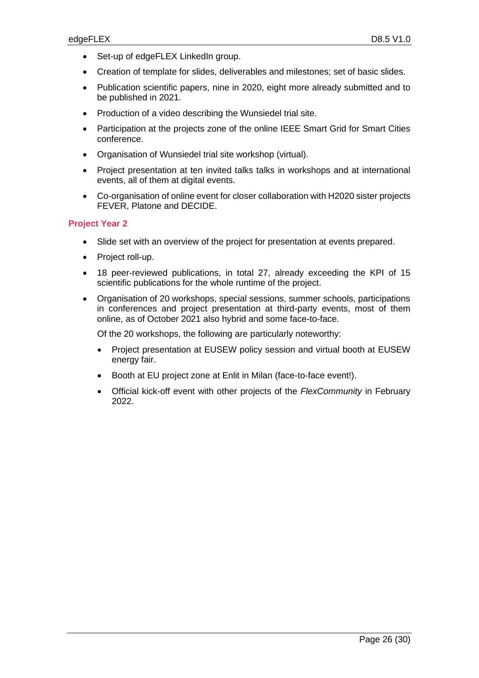- Set-up of edgeFLEX LinkedIn group.
- Creation of template for slides, deliverables and milestones; set of basic slides.
- Publication scientific papers, nine in 2020, eight more already submitted and to be published in 2021.
- Production of a video describing the Wunsiedel trial site.
- Participation at the projects zone of the online IEEE Smart Grid for Smart Cities conference.
- Organisation of Wunsiedel trial site workshop (virtual).
- Project presentation at ten invited talks talks in workshops and at international events, all of them at digital events.
- Co-organisation of online event for closer collaboration with H2020 sister projects FEVER, Platone and DECIDE.

# **Project Year 2**

- Slide set with an overview of the project for presentation at events prepared.
- Project roll-up.
- 18 peer-reviewed publications, in total 27, already exceeding the KPI of 15 scientific publications for the whole runtime of the project.
- Organisation of 20 workshops, special sessions, summer schools, participations in conferences and project presentation at third-party events, most of them online, as of October 2021 also hybrid and some face-to-face.

Of the 20 workshops, the following are particularly noteworthy:

- Project presentation at EUSEW policy session and virtual booth at EUSEW energy fair.
- Booth at EU project zone at Enlit in Milan (face-to-face event!).
- Official kick-off event with other projects of the *FlexCommunity* in February 2022.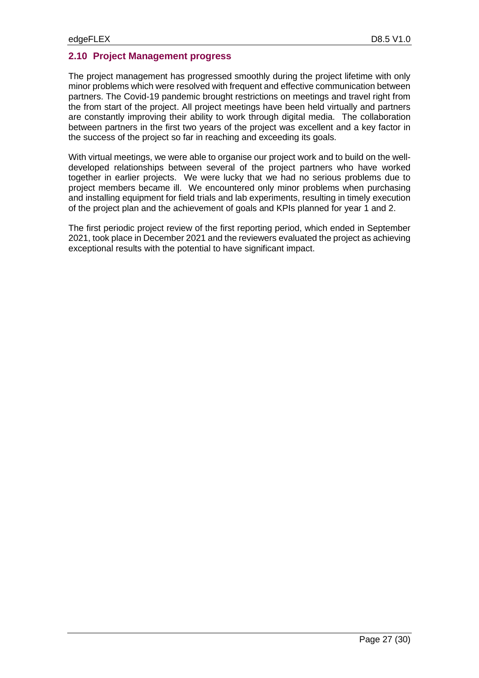# <span id="page-26-0"></span>**2.10 Project Management progress**

The project management has progressed smoothly during the project lifetime with only minor problems which were resolved with frequent and effective communication between partners. The Covid-19 pandemic brought restrictions on meetings and travel right from the from start of the project. All project meetings have been held virtually and partners are constantly improving their ability to work through digital media. The collaboration between partners in the first two years of the project was excellent and a key factor in the success of the project so far in reaching and exceeding its goals.

With virtual meetings, we were able to organise our project work and to build on the welldeveloped relationships between several of the project partners who have worked together in earlier projects. We were lucky that we had no serious problems due to project members became ill. We encountered only minor problems when purchasing and installing equipment for field trials and lab experiments, resulting in timely execution of the project plan and the achievement of goals and KPIs planned for year 1 and 2.

The first periodic project review of the first reporting period, which ended in September 2021, took place in December 2021 and the reviewers evaluated the project as achieving exceptional results with the potential to have significant impact.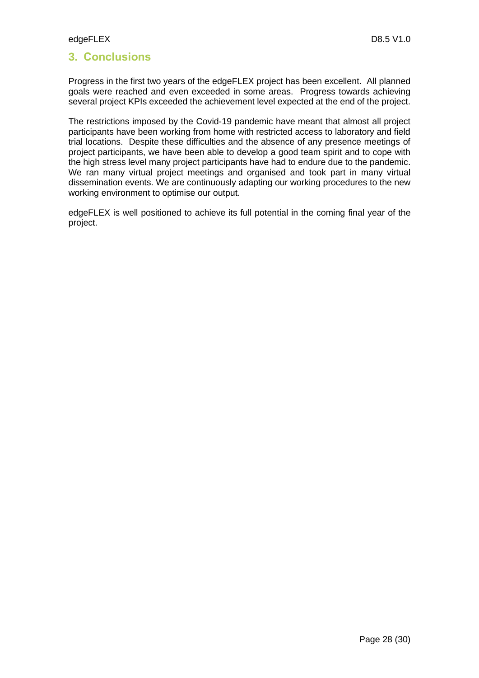# <span id="page-27-0"></span>**3. Conclusions**

Progress in the first two years of the edgeFLEX project has been excellent. All planned goals were reached and even exceeded in some areas. Progress towards achieving several project KPIs exceeded the achievement level expected at the end of the project.

The restrictions imposed by the Covid-19 pandemic have meant that almost all project participants have been working from home with restricted access to laboratory and field trial locations. Despite these difficulties and the absence of any presence meetings of project participants, we have been able to develop a good team spirit and to cope with the high stress level many project participants have had to endure due to the pandemic. We ran many virtual project meetings and organised and took part in many virtual dissemination events. We are continuously adapting our working procedures to the new working environment to optimise our output.

edgeFLEX is well positioned to achieve its full potential in the coming final year of the project.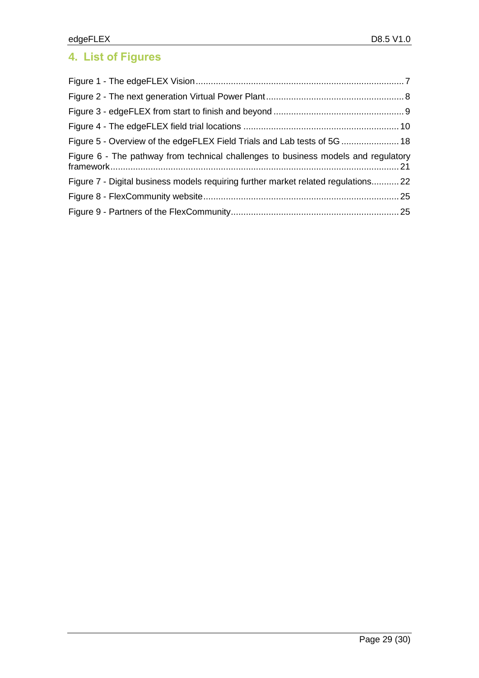# <span id="page-28-0"></span>**4. List of Figures**

| Figure 5 - Overview of the edgeFLEX Field Trials and Lab tests of 5G  18           |  |
|------------------------------------------------------------------------------------|--|
| Figure 6 - The pathway from technical challenges to business models and regulatory |  |
| Figure 7 - Digital business models requiring further market related regulations 22 |  |
|                                                                                    |  |
|                                                                                    |  |